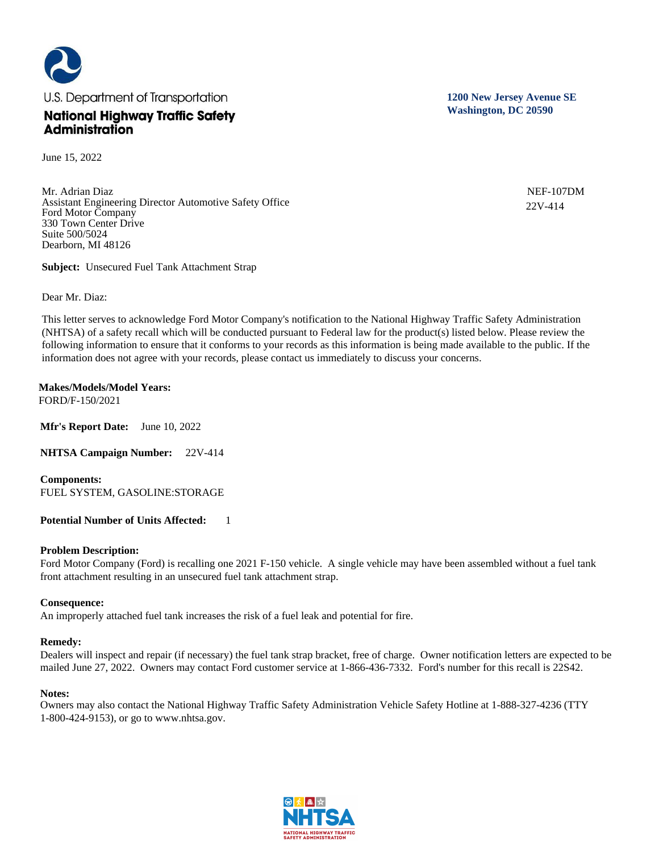

June 15, 2022

Mr. Adrian Diaz Assistant Engineering Director Automotive Safety Office Ford Motor Company 330 Town Center Drive Suite 500/5024 Dearborn, MI 48126

**Subject:** Unsecured Fuel Tank Attachment Strap

Dear Mr. Diaz:

This letter serves to acknowledge Ford Motor Company's notification to the National Highway Traffic Safety Administration (NHTSA) of a safety recall which will be conducted pursuant to Federal law for the product(s) listed below. Please review the following information to ensure that it conforms to your records as this information is being made available to the public. If the information does not agree with your records, please contact us immediately to discuss your concerns.

### **Makes/Models/Model Years:**  FORD/F-150/2021

**Mfr's Report Date:** June 10, 2022

**NHTSA Campaign Number:** 22V-414

**Components:**  FUEL SYSTEM, GASOLINE:STORAGE

# **Potential Number of Units Affected:** 1

# **Problem Description:**

Ford Motor Company (Ford) is recalling one 2021 F-150 vehicle. A single vehicle may have been assembled without a fuel tank front attachment resulting in an unsecured fuel tank attachment strap.

# **Consequence:**

An improperly attached fuel tank increases the risk of a fuel leak and potential for fire.

### **Remedy:**

Dealers will inspect and repair (if necessary) the fuel tank strap bracket, free of charge. Owner notification letters are expected to be mailed June 27, 2022. Owners may contact Ford customer service at 1-866-436-7332. Ford's number for this recall is 22S42.

# **Notes:**

Owners may also contact the National Highway Traffic Safety Administration Vehicle Safety Hotline at 1-888-327-4236 (TTY 1-800-424-9153), or go to www.nhtsa.gov.





**1200 New Jersey Avenue SE Washington, DC 20590**

> NEF-107DM 22V-414